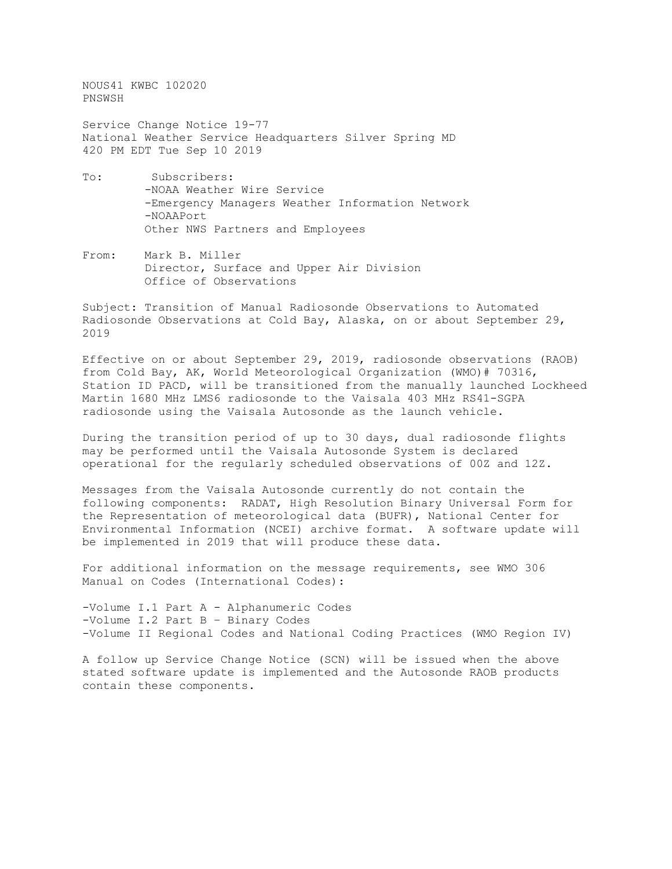NOUS41 KWBC 102020 PNSWSH

Service Change Notice 19-77 National Weather Service Headquarters Silver Spring MD 420 PM EDT Tue Sep 10 2019

- To: Subscribers: -NOAA Weather Wire Service -Emergency Managers Weather Information Network -NOAAPort Other NWS Partners and Employees
- From: Mark B. Miller Director, Surface and Upper Air Division Office of Observations

Subject: Transition of Manual Radiosonde Observations to Automated Radiosonde Observations at Cold Bay, Alaska, on or about September 29, 2019

Effective on or about September 29, 2019, radiosonde observations (RAOB) from Cold Bay, AK, World Meteorological Organization (WMO)# 70316, Station ID PACD, will be transitioned from the manually launched Lockheed Martin 1680 MHz LMS6 radiosonde to the Vaisala 403 MHz RS41-SGPA radiosonde using the Vaisala Autosonde as the launch vehicle.

During the transition period of up to 30 days, dual radiosonde flights may be performed until the Vaisala Autosonde System is declared operational for the regularly scheduled observations of 00Z and 12Z.

Messages from the Vaisala Autosonde currently do not contain the following components: RADAT, High Resolution Binary Universal Form for the Representation of meteorological data (BUFR), National Center for Environmental Information (NCEI) archive format. A software update will be implemented in 2019 that will produce these data.

For additional information on the message requirements, see WMO 306 Manual on Codes (International Codes):

-Volume I.1 Part A - Alphanumeric Codes -Volume I.2 Part B – Binary Codes -Volume II Regional Codes and National Coding Practices (WMO Region IV)

A follow up Service Change Notice (SCN) will be issued when the above stated software update is implemented and the Autosonde RAOB products contain these components.